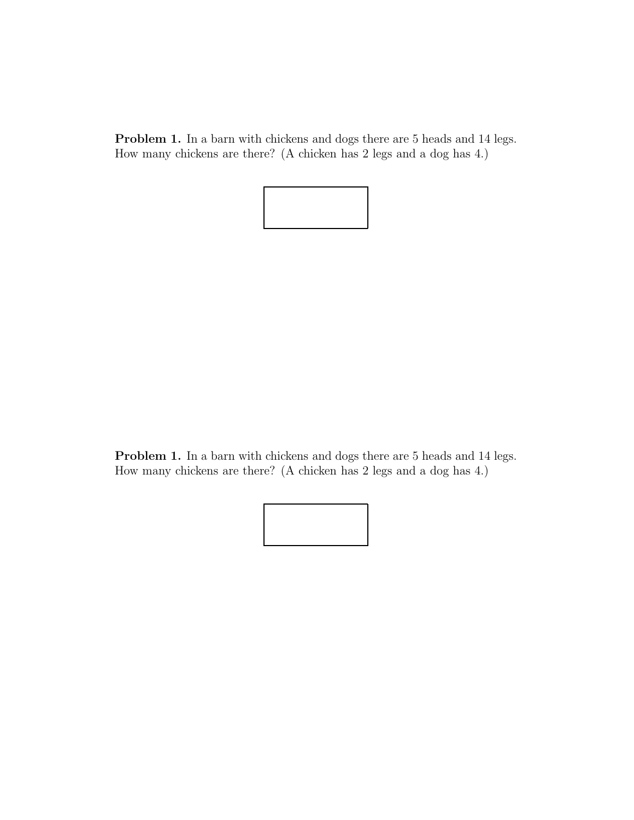Problem 1. In a barn with chickens and dogs there are 5 heads and 14 legs. How many chickens are there? (A chicken has 2 legs and a dog has 4.)



Problem 1. In a barn with chickens and dogs there are 5 heads and 14 legs. How many chickens are there? (A chicken has 2 legs and a dog has 4.)

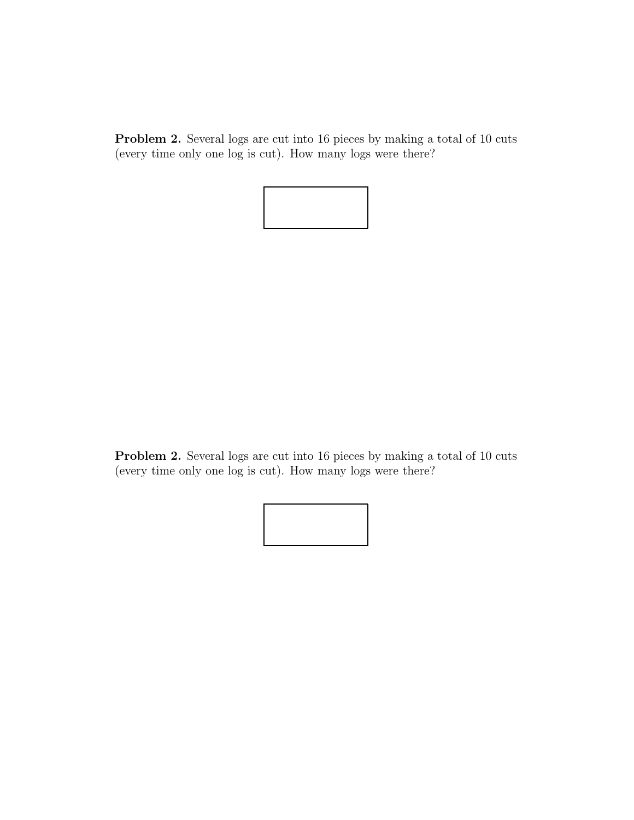**Problem 2.** Several logs are cut into 16 pieces by making a total of 10 cuts (every time only one log is cut). How many logs were there?



**Problem 2.** Several logs are cut into 16 pieces by making a total of 10 cuts (every time only one log is cut). How many logs were there?

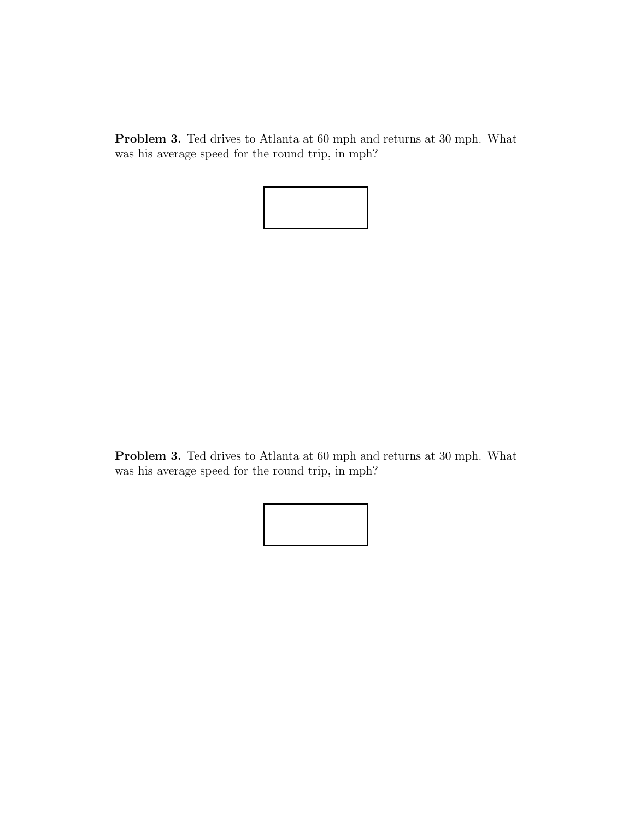**Problem 3.** Ted drives to Atlanta at 60 mph and returns at 30 mph. What was his average speed for the round trip, in mph?



**Problem 3.** Ted drives to Atlanta at 60 mph and returns at 30 mph. What was his average speed for the round trip, in mph?

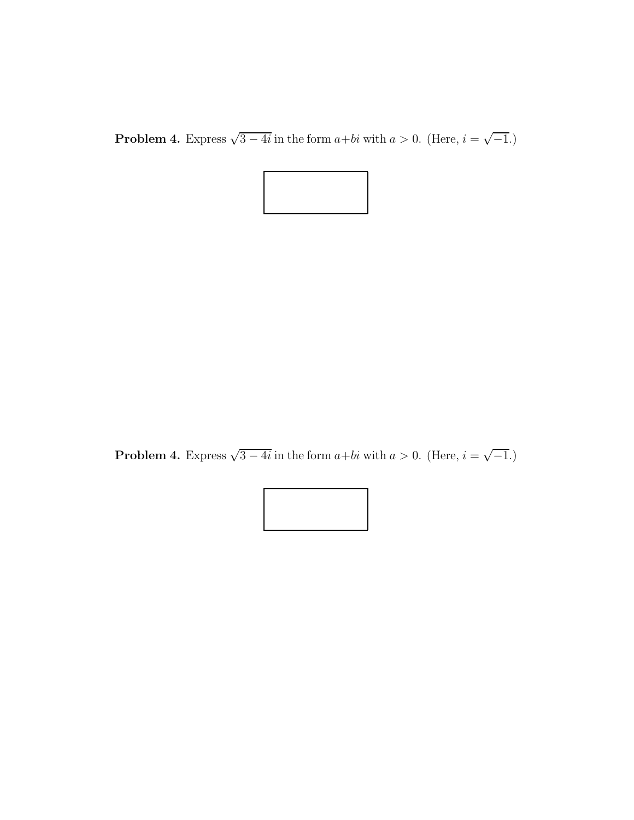**Problem 4.** Express  $\sqrt{3 - 4i}$  in the form *a+bi* with *a* > 0. (Here, *i* =  $\sqrt{-1}$ .)



**Problem 4.** Express  $\sqrt{3 - 4i}$  in the form  $a + bi$  with  $a > 0$ . (Here,  $i = \sqrt{-1}$ .)

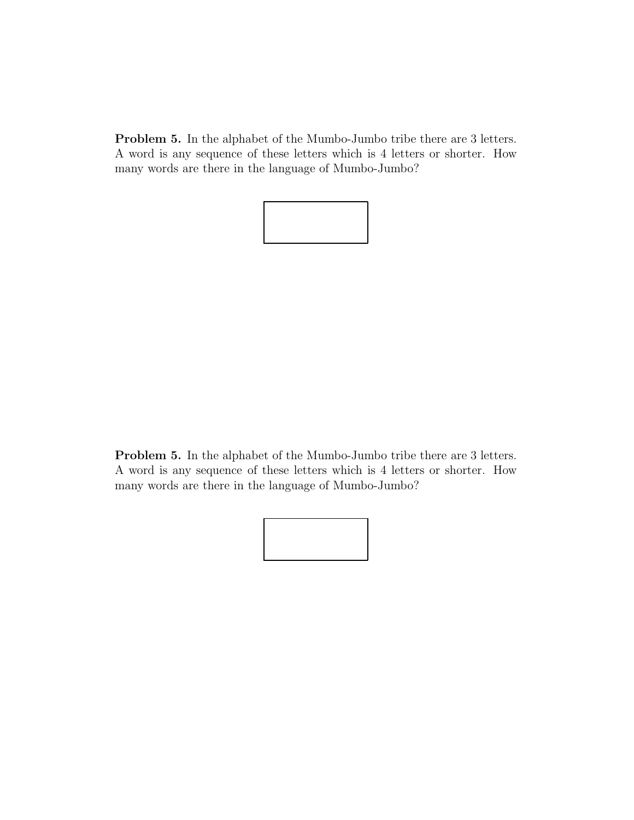**Problem 5.** In the alphabet of the Mumbo-Jumbo tribe there are 3 letters. A word is any sequence of these letters which is 4 letters or shorter. How many words are there in the language of Mumbo-Jumbo?



**Problem 5.** In the alphabet of the Mumbo-Jumbo tribe there are 3 letters. A word is any sequence of these letters which is 4 letters or shorter. How many words are there in the language of Mumbo-Jumbo?

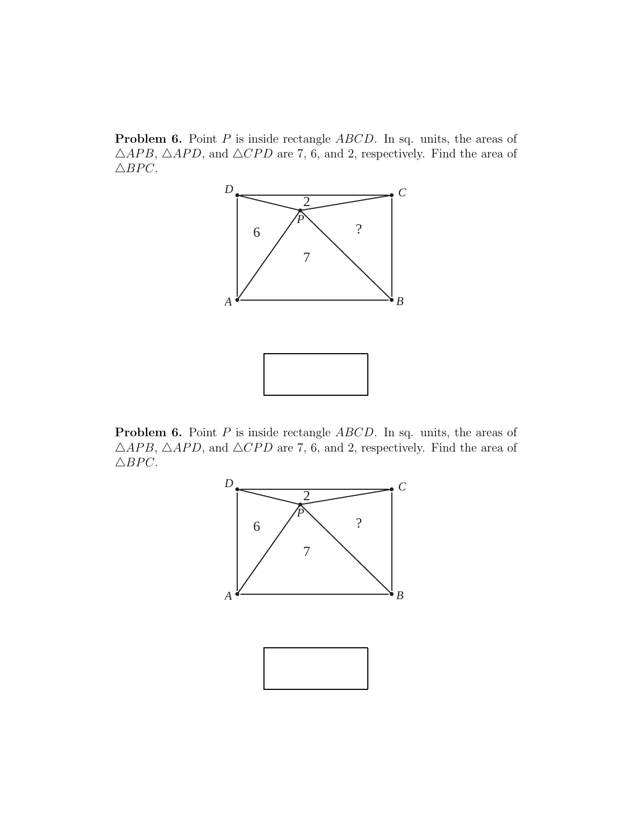**Problem 6.** Point *P* is inside rectangle *ABCD*. In sq. units, the areas of  $\triangle APB$ ,  $\triangle APD$ , and  $\triangle CPD$  are 7, 6, and 2, respectively. Find the area of  $\triangle BPC$ .



**Problem 6.** Point *P* is inside rectangle *ABCD*. In sq. units, the areas of  $\triangle APB$ ,  $\triangle APD$ , and  $\triangle CPD$  are 7, 6, and 2, respectively. Find the area of  $\triangle BPC$ .

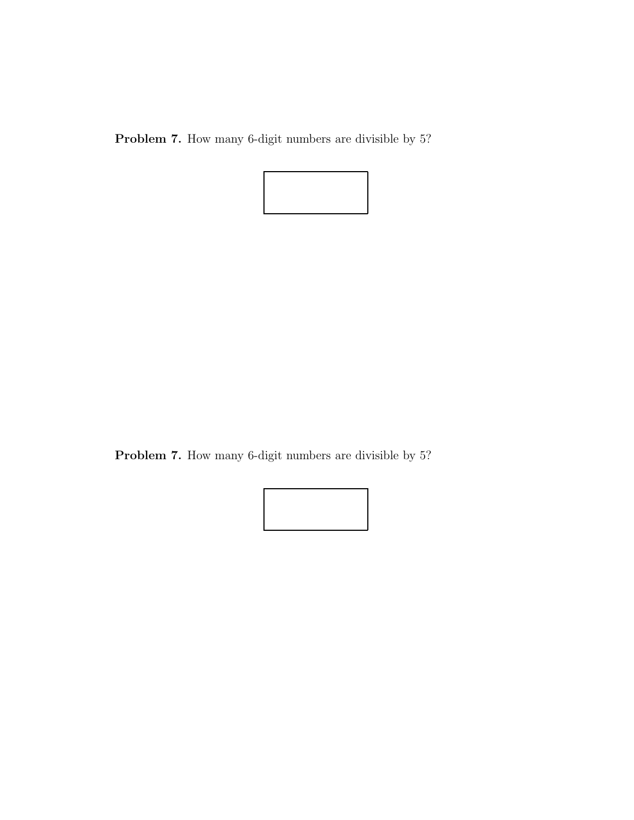**Problem 7.** How many 6-digit numbers are divisible by 5?



**Problem 7.** How many 6-digit numbers are divisible by 5?

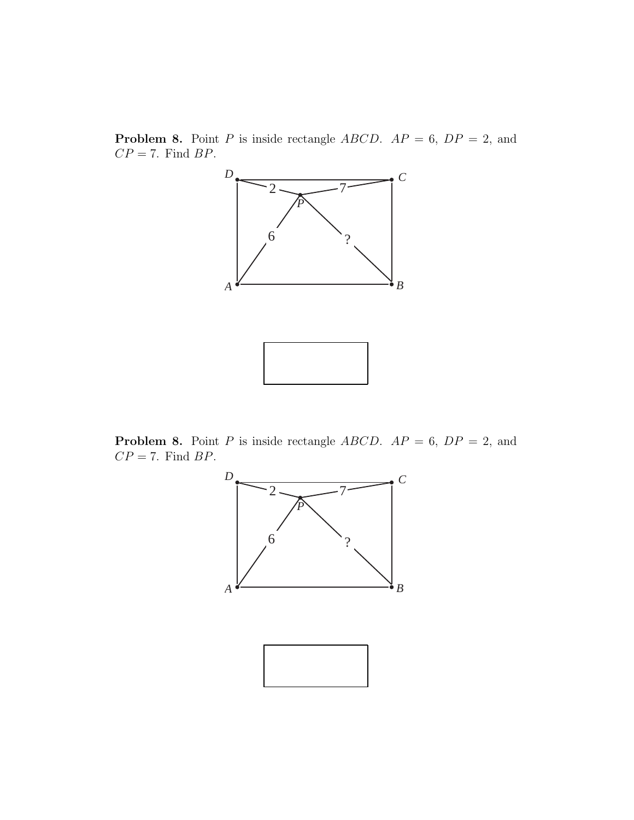**Problem 8.** Point *P* is inside rectangle *ABCD*.  $AP = 6$ ,  $DP = 2$ , and *CP* = 7. Find *BP*.



**Problem 8.** Point *P* is inside rectangle *ABCD*.  $AP = 6$ ,  $DP = 2$ , and *CP* = 7. Find *BP*.

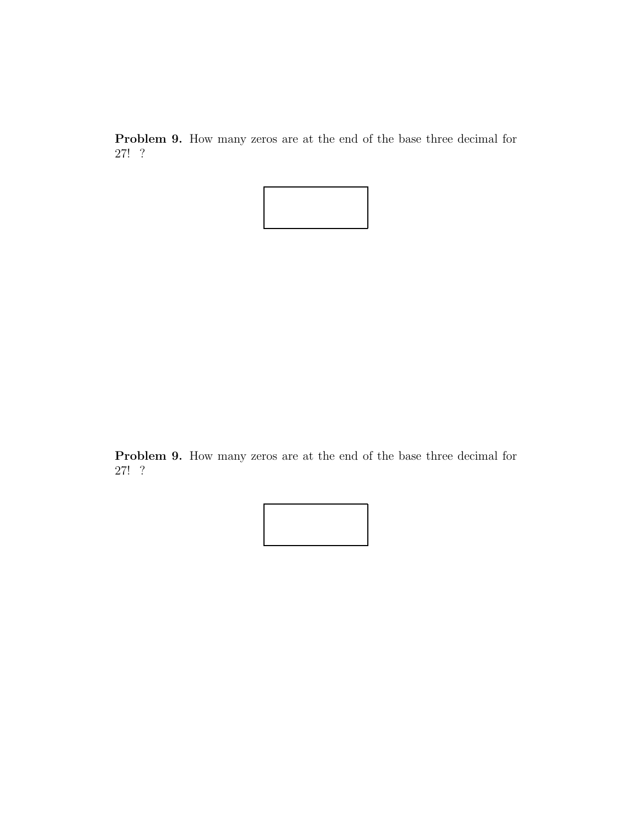**Problem 9.** How many zeros are at the end of the base three decimal for 27! ?



**Problem 9.** How many zeros are at the end of the base three decimal for 27! ?